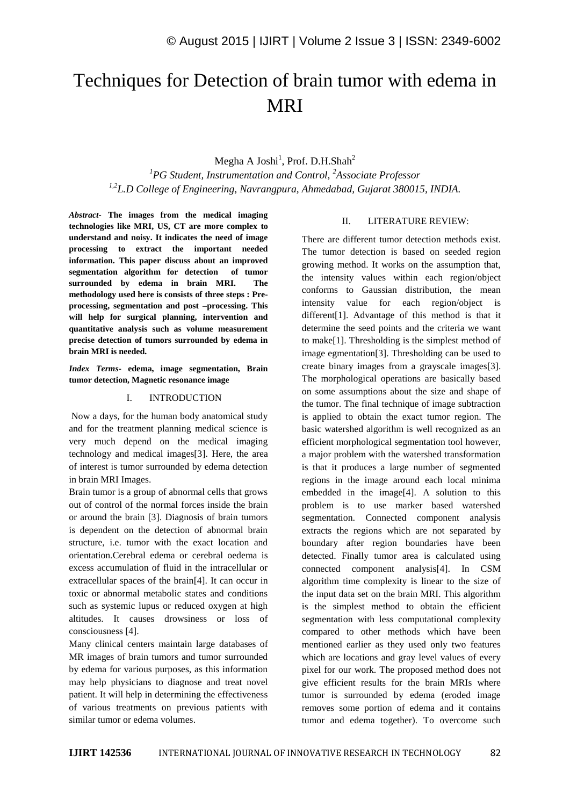# Techniques for Detection of brain tumor with edema in MRI

Megha A Joshi<sup>1</sup>, Prof. D.H.Shah<sup>2</sup> *<sup>1</sup>PG Student, Instrumentation and Control, <sup>2</sup>Associate Professor 1,2L.D College of Engineering, Navrangpura, Ahmedabad, Gujarat 380015, INDIA.*

*Abstract-* **The images from the medical imaging technologies like MRI, US, CT are more complex to understand and noisy. It indicates the need of image processing to extract the important needed information. This paper discuss about an improved segmentation algorithm for detection of tumor surrounded by edema in brain MRI. The methodology used here is consists of three steps : Preprocessing, segmentation and post –processing. This will help for surgical planning, intervention and quantitative analysis such as volume measurement precise detection of tumors surrounded by edema in brain MRI is needed.**

*Index Terms-* **edema, image segmentation, Brain tumor detection, Magnetic resonance image**

### I. INTRODUCTION

Now a days, for the human body anatomical study and for the treatment planning medical science is very much depend on the medical imaging technology and medical images[3]. Here, the area of interest is tumor surrounded by edema detection in brain MRI Images.

Brain tumor is a group of abnormal cells that grows out of control of the normal forces inside the brain or around the brain [3]. Diagnosis of brain tumors is dependent on the detection of abnormal brain structure, i.e. tumor with the exact location and orientation.Cerebral edema or cerebral oedema is excess accumulation of fluid in the intracellular or extracellular spaces of the brain[4]. It can occur in toxic or abnormal metabolic states and conditions such as systemic lupus or reduced oxygen at high altitudes. It causes drowsiness or loss of consciousness [4].

Many clinical centers maintain large databases of MR images of brain tumors and tumor surrounded by edema for various purposes, as this information may help physicians to diagnose and treat novel patient. It will help in determining the effectiveness of various treatments on previous patients with similar tumor or edema volumes.

## II. LITERATURE REVIEW:

There are different tumor detection methods exist. The tumor detection is based on seeded region growing method. It works on the assumption that, the intensity values within each region/object conforms to Gaussian distribution, the mean intensity value for each region/object is different[1]. Advantage of this method is that it determine the seed points and the criteria we want to make[1]. Thresholding is the simplest method of image egmentation[3]. Thresholding can be used to create binary images from a grayscale images[3]. The morphological operations are basically based on some assumptions about the size and shape of the tumor. The final technique of image subtraction is applied to obtain the exact tumor region. The basic watershed algorithm is well recognized as an efficient morphological segmentation tool however, a major problem with the watershed transformation is that it produces a large number of segmented regions in the image around each local minima embedded in the image[4]. A solution to this problem is to use marker based watershed segmentation. Connected component analysis extracts the regions which are not separated by boundary after region boundaries have been detected. Finally tumor area is calculated using connected component analysis[4]. In CSM algorithm time complexity is linear to the size of the input data set on the brain MRI. This algorithm is the simplest method to obtain the efficient segmentation with less computational complexity compared to other methods which have been mentioned earlier as they used only two features which are locations and gray level values of every pixel for our work. The proposed method does not give efficient results for the brain MRIs where tumor is surrounded by edema (eroded image removes some portion of edema and it contains tumor and edema together). To overcome such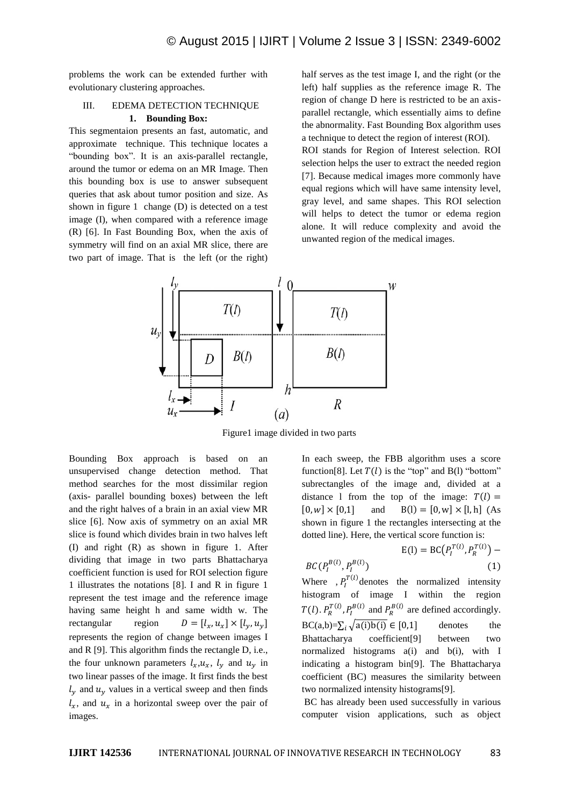problems the work can be extended further with evolutionary clustering approaches.

# III. EDEMA DETECTION TECHNIQUE

## **1. Bounding Box:**

This segmentaion presents an fast, automatic, and approximate technique. This technique locates a "bounding box". It is an axis-parallel rectangle, around the tumor or edema on an MR Image. Then this bounding box is use to answer subsequent queries that ask about tumor position and size. As shown in figure 1 change (D) is detected on a test image (I), when compared with a reference image (R) [6]. In Fast Bounding Box, when the axis of symmetry will find on an axial MR slice, there are two part of image. That is the left (or the right)

half serves as the test image I, and the right (or the left) half supplies as the reference image R. The region of change D here is restricted to be an axisparallel rectangle, which essentially aims to define the abnormality. Fast Bounding Box algorithm uses a technique to detect the region of interest (ROI).

ROI stands for Region of Interest selection. ROI selection helps the user to extract the needed region [7]. Because medical images more commonly have equal regions which will have same intensity level, gray level, and same shapes. This ROI selection will helps to detect the tumor or edema region alone. It will reduce complexity and avoid the unwanted region of the medical images.



Figure1 image divided in two parts

Bounding Box approach is based on an unsupervised change detection method. That method searches for the most dissimilar region (axis- parallel bounding boxes) between the left and the right halves of a brain in an axial view MR slice [6]. Now axis of symmetry on an axial MR slice is found which divides brain in two halves left (I) and right (R) as shown in figure 1. After dividing that image in two parts Bhattacharya coefficient function is used for ROI selection figure 1 illustrates the notations [8]. I and R in figure 1 represent the test image and the reference image having same height h and same width w. The rectangular region  $D = [l_x, u_x] \times [l_y, u_y]$ represents the region of change between images I and R [9]. This algorithm finds the rectangle D, i.e., the four unknown parameters  $l_x, u_x, l_y$  and  $u_y$  in two linear passes of the image. It first finds the best  $l_{\nu}$  and  $u_{\nu}$  values in a vertical sweep and then finds  $l_x$ , and  $u_x$  in a horizontal sweep over the pair of images.

In each sweep, the FBB algorithm uses a score function[8]. Let  $T(l)$  is the "top" and B(l) "bottom" subrectangles of the image and, divided at a distance 1 from the top of the image:  $T(l) =$  $[0, w] \times [0,1]$  and  $B(1) = [0, w] \times [1, h]$  (As shown in figure 1 the rectangles intersecting at the dotted line). Here, the vertical score function is:

$$
E(I) = BC(P_I^{T(I)}, P_R^{T(I)}) - BC(P_I^{B(I)}, P_R^{T(I)}) \tag{1}
$$

Where  $P_I^{T(l)}$  denotes the normalized intensity histogram of image I within the region  $T(l)$ .  $P_R^{T(l)}$ ,  $P_I^{B(l)}$  and  $P_R^{B(l)}$  are defined accordingly.  $BC(a,b)=\sum_i \sqrt{a(i)b(i)} \in [0,1]$  denotes the Bhattacharya coefficient[9] between two normalized histograms a(i) and b(i), with I indicating a histogram bin[9]. The Bhattacharya coefficient (BC) measures the similarity between two normalized intensity histograms[9].

BC has already been used successfully in various computer vision applications, such as object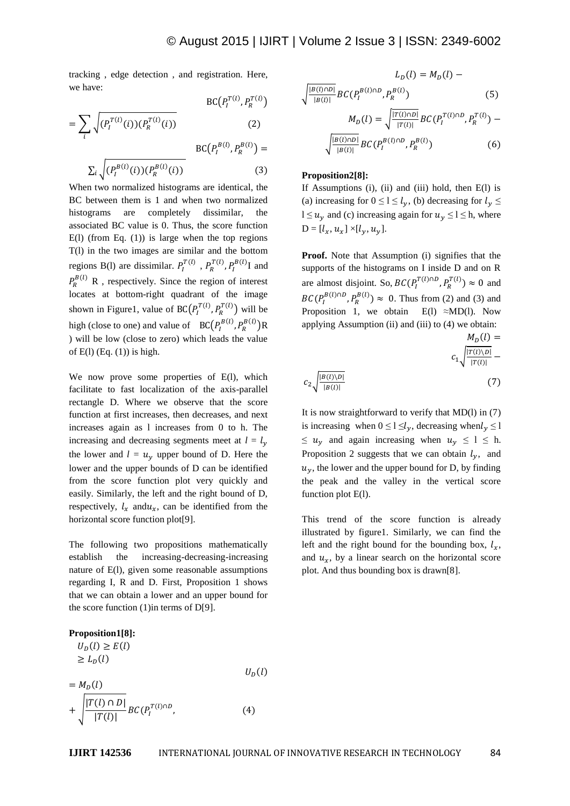tracking , edge detection , and registration. Here, we have:

$$
BC(P_I^{T(l)}, P_R^{T(l)})
$$
\n
$$
= \sum_i \sqrt{(P_I^{T(l)}(i))(P_R^{T(l)}(i))}
$$
\n
$$
BC(P_I^{B(l)}, P_R^{B(l)}) =
$$
\n
$$
\sum_i \sqrt{(P_I^{B(l)}(i))(P_R^{B(l)}(i))}
$$
\n
$$
(3)
$$

When two normalized histograms are identical, the BC between them is 1 and when two normalized histograms are completely dissimilar, the associated BC value is 0. Thus, the score function  $E(1)$  (from Eq. (1)) is large when the top regions T(l) in the two images are similar and the bottom regions B(l) are dissimilar.  $P_I^{T(I)}$ ,  $P_R^{T(I)}$ ,  $P_I^{B(I)}$ I and  $P_R^{B(l)}$  R, respectively. Since the region of interest locates at bottom-right quadrant of the image shown in Figure1, value of BC( $P_I^{T(l)}, P_R^{T(l)}$ ) will be high (close to one) and value of  $BC(P_I^{B(l)}, P_R^{B(l)})R$ ) will be low (close to zero) which leads the value of  $E(1)$  (Eq.  $(1)$ ) is high.

We now prove some properties of E(l), which facilitate to fast localization of the axis-parallel rectangle D. Where we observe that the score function at first increases, then decreases, and next increases again as l increases from 0 to h. The increasing and decreasing segments meet at  $l = l_{v}$ the lower and  $l = u<sub>v</sub>$  upper bound of D. Here the lower and the upper bounds of D can be identified from the score function plot very quickly and easily. Similarly, the left and the right bound of D, respectively,  $l_x$  and  $u_x$ , can be identified from the horizontal score function plot[9].

The following two propositions mathematically establish the increasing-decreasing-increasing nature of E(l), given some reasonable assumptions regarding I, R and D. First, Proposition 1 shows that we can obtain a lower and an upper bound for the score function  $(1)$  in terms of D[9].



$$
L_D(l) = M_D(l) -
$$
  

$$
\sqrt{\frac{|B(l) \cap D|}{|B(l)|}} BC(P_l^{B(l) \cap D}, P_R^{B(l)})
$$
(5)  

$$
M_D(l) = \sqrt{\frac{|T(l) \cap D|}{|T(l)|}} BC(P_l^{T(l) \cap D}, P_R^{T(l)}) -
$$
  

$$
\sqrt{\frac{|B(l) \cap D|}{|B(l)|}} BC(P_l^{B(l) \cap D}, P_R^{B(l)})
$$
(6)

#### **Proposition2[8]:**

If Assumptions  $(i)$ ,  $(ii)$  and  $(iii)$  hold, then  $E(1)$  is (a) increasing for  $0 \le l \le l_{\nu}$ , (b) decreasing for  $l_{\nu} \le$  $l \le u_v$  and (c) increasing again for  $u_v \le l \le h$ , where  $D = [l_x, u_x] \times [l_y, u_y].$ 

**Proof.** Note that Assumption (i) signifies that the supports of the histograms on I inside D and on R are almost disjoint. So,  $BC(P_I^{T(l) \cap D}, P_R^{T(l)}) \approx 0$  and  $BC(P_I^{B(l)\cap D}, P_R^{B(l)}) \approx 0$ . Thus from (2) and (3) and Proposition 1, we obtain E(l)  $\approx M D(l)$ . Now applying Assumption  $(ii)$  and  $(iii)$  to  $(4)$  we obtain:

$$
c_{1} \sqrt{\frac{|B(l)\backslash D|}{|T(l)|}} - c_{2} \sqrt{\frac{|B(l)\backslash D|}{|B(l)|}} - (7)
$$

 $M(1)$  –

It is now straightforward to verify that  $MD(1)$  in  $(7)$ is increasing when  $0 \le l \le l_{\nu}$ , decreasing when  $l_{\nu} \le l$  $\leq u_{\nu}$  and again increasing when  $u_{\nu} \leq 1 \leq h$ . Proposition 2 suggests that we can obtain  $l_{\gamma}$ , and  $u<sub>v</sub>$ , the lower and the upper bound for D, by finding the peak and the valley in the vertical score function plot E(l).

This trend of the score function is already illustrated by figure1. Similarly, we can find the left and the right bound for the bounding box,  $l_x$ , and  $u_x$ , by a linear search on the horizontal score plot. And thus bounding box is drawn[8].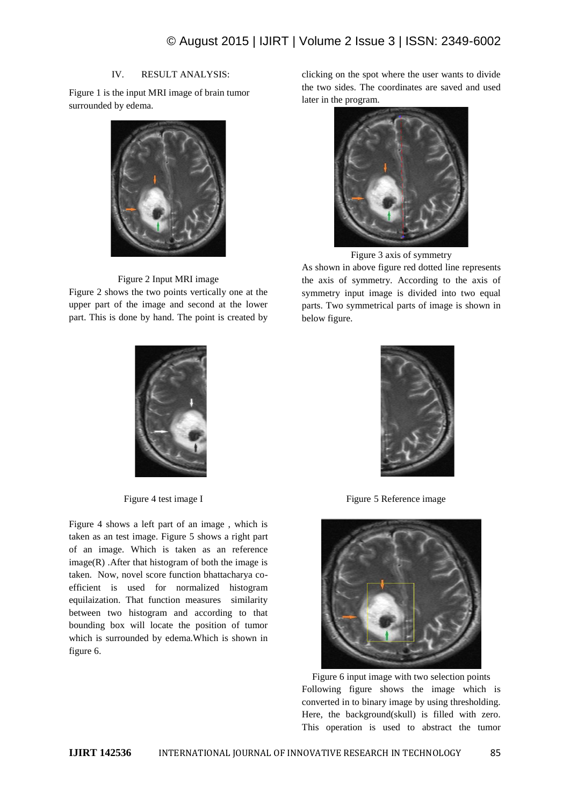# IV. RESULT ANALYSIS:

Figure 1 is the input MRI image of brain tumor surrounded by edema.



## Figure 2 Input MRI image

Figure 2 shows the two points vertically one at the upper part of the image and second at the lower part. This is done by hand. The point is created by



Figure 4 shows a left part of an image , which is taken as an test image. Figure 5 shows a right part of an image. Which is taken as an reference  $image(R)$ . After that histogram of both the image is taken. Now, novel score function bhattacharya coefficient is used for normalized histogram equilaization. That function measures similarity between two histogram and according to that bounding box will locate the position of tumor which is surrounded by edema.Which is shown in figure 6.

clicking on the spot where the user wants to divide the two sides. The coordinates are saved and used later in the program.



Figure 3 axis of symmetry

As shown in above figure red dotted line represents the axis of symmetry. According to the axis of symmetry input image is divided into two equal parts. Two symmetrical parts of image is shown in below figure.



Figure 4 test image I Figure 5 Reference image



Figure 6 input image with two selection points Following figure shows the image which is converted in to binary image by using thresholding. Here, the background(skull) is filled with zero. This operation is used to abstract the tumor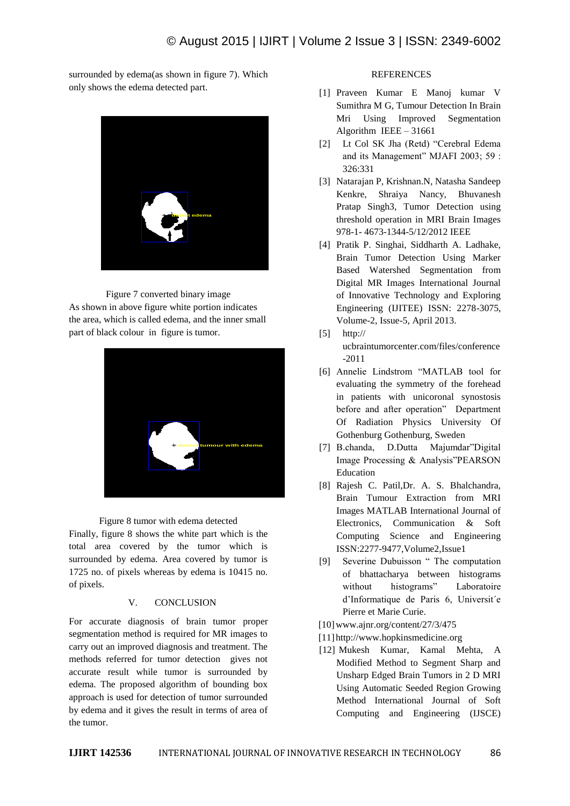surrounded by edema(as shown in figure 7). Which only shows the edema detected part.



Figure 7 converted binary image As shown in above figure white portion indicates the area, which is called edema, and the inner small part of black colour in figure is tumor.



Figure 8 tumor with edema detected

Finally, figure 8 shows the white part which is the total area covered by the tumor which is surrounded by edema. Area covered by tumor is 1725 no. of pixels whereas by edema is 10415 no. of pixels.

# V. CONCLUSION

For accurate diagnosis of brain tumor proper segmentation method is required for MR images to carry out an improved diagnosis and treatment. The methods referred for tumor detection gives not accurate result while tumor is surrounded by edema. The proposed algorithm of bounding box approach is used for detection of tumor surrounded by edema and it gives the result in terms of area of the tumor.

## **REFERENCES**

- [1] Praveen Kumar E Manoj kumar V Sumithra M G, Tumour Detection In Brain Mri Using Improved Segmentation Algorithm IEEE – 31661
- [2] Lt Col SK Jha (Retd) "Cerebral Edema and its Management" MJAFI 2003; 59 : 326:331
- [3] Natarajan P, Krishnan.N, Natasha Sandeep Kenkre, Shraiya Nancy, Bhuvanesh Pratap Singh3, Tumor Detection using threshold operation in MRI Brain Images 978-1- 4673-1344-5/12/2012 IEEE
- [4] Pratik P. Singhai, Siddharth A. Ladhake, Brain Tumor Detection Using Marker Based Watershed Segmentation from Digital MR Images International Journal of Innovative Technology and Exploring Engineering (IJITEE) ISSN: 2278-3075, Volume-2, Issue-5, April 2013.
- [5] http://
	- ucbraintumorcenter.com/files/conference -2011
- [6] Annelie Lindstrom "MATLAB tool for evaluating the symmetry of the forehead in patients with unicoronal synostosis before and after operation" Department Of Radiation Physics University Of Gothenburg Gothenburg, Sweden
- [7] B.chanda, D.Dutta Majumdar"Digital Image Processing & Analysis"PEARSON Education
- [8] Rajesh C. Patil,Dr. A. S. Bhalchandra, Brain Tumour Extraction from MRI Images MATLAB International Journal of Electronics, Communication & Soft Computing Science and Engineering ISSN:2277-9477,Volume2,Issue1
- [9] Severine Dubuisson " The computation of bhattacharya between histograms without histograms" Laboratoire d'Informatique de Paris 6, Universit´e Pierre et Marie Curie.
- [10]www.ajnr.org/content/27/3/475
- [11] http://www.hopkinsmedicine.org
- [12] Mukesh Kumar, Kamal Mehta, A Modified Method to Segment Sharp and Unsharp Edged Brain Tumors in 2 D MRI Using Automatic Seeded Region Growing Method International Journal of Soft Computing and Engineering (IJSCE)